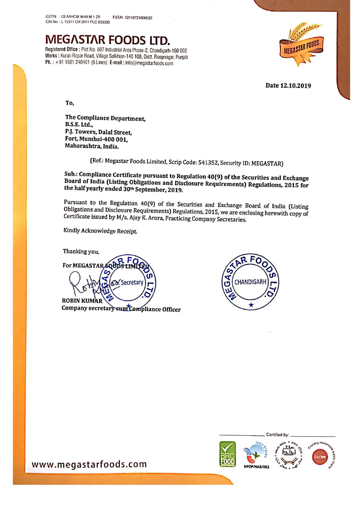

Registered Office : Plot No. 807 Industrial Area Phase-2, Chandigarh-160 002 Works : Kurali-Ropar Road, Village Solkhian-140 108, Distt. Roopnagar, Punjab Ph. : +91 <sup>1831</sup> 240401 (6 Lines) E-mail : inio@megasiarioods.com



Date 12.10.2019

To,

The Compliance Department, B.S.E. Ltd.. PJ. Towers, Dalal Street, Fort, Mumbai-400 001, Maharashtra, lndia.

(Ref; Megastar Foods Limited, Scrip Code: 541352, Security ID: MEGASTAR)

Sub.: Compliance Board of Sub.: Compliance Certificate pursuant to Regulation 40(9) of the Securities and Exchange<br>Board of India (Listing Obligations and Disclosure Requirements) Regulations, 2015 for<br>the half yearly ended 30ª September, 2019.

Pursuant to the Regulation 40(9) of the Securities and Exchange Board of India (Listing Obligations and Disclosure Requirements) Regulations, 2015, we are enclosing herewith copy of Certificate issued by M/s. Ajay K. Arora

Kindly Acknowledge Receipt

Thanking you, For MEGASTAR<sub>/</sub>E Secretar **ROBIN KUM** Company secretary cum Compliance Officer





www.megastarfoods.com